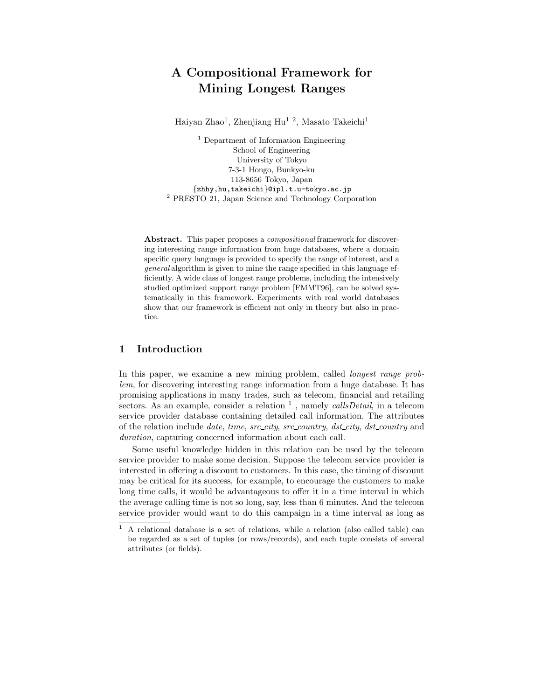# A Compositional Framework for Mining Longest Ranges

Haiyan Zhao<sup>1</sup>, Zhenjiang Hu<sup>12</sup>, Masato Takeichi<sup>1</sup>

<sup>1</sup> Department of Information Engineering School of Engineering University of Tokyo 7-3-1 Hongo, Bunkyo-ku 113-8656 Tokyo, Japan {zhhy,hu,takeichi}@ipl.t.u-tokyo.ac.jp <sup>2</sup> PRESTO 21, Japan Science and Technology Corporation

Abstract. This paper proposes a *compositional* framework for discovering interesting range information from huge databases, where a domain specific query language is provided to specify the range of interest, and a general algorithm is given to mine the range specified in this language efficiently. A wide class of longest range problems, including the intensively studied optimized support range problem [FMMT96], can be solved systematically in this framework. Experiments with real world databases show that our framework is efficient not only in theory but also in practice.

#### 1 Introduction

In this paper, we examine a new mining problem, called *longest range prob*lem, for discovering interesting range information from a huge database. It has promising applications in many trades, such as telecom, financial and retailing sectors. As an example, consider a relation  $\frac{1}{1}$ , namely *callsDetail*, in a telecom service provider database containing detailed call information. The attributes of the relation include date, time, src city, src country, dst city, dst country and duration, capturing concerned information about each call.

Some useful knowledge hidden in this relation can be used by the telecom service provider to make some decision. Suppose the telecom service provider is interested in offering a discount to customers. In this case, the timing of discount may be critical for its success, for example, to encourage the customers to make long time calls, it would be advantageous to offer it in a time interval in which the average calling time is not so long, say, less than 6 minutes. And the telecom service provider would want to do this campaign in a time interval as long as

 $1$  A relational database is a set of relations, while a relation (also called table) can be regarded as a set of tuples (or rows/records), and each tuple consists of several attributes (or fields).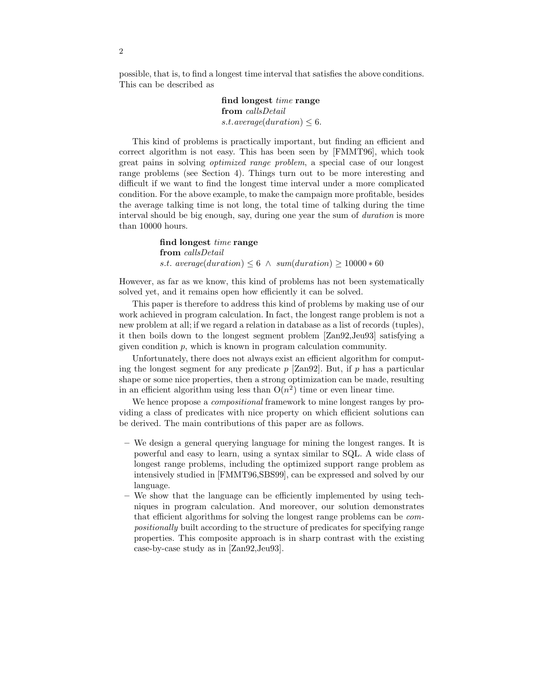possible, that is, to find a longest time interval that satisfies the above conditions. This can be described as

> find longest time range from callsDetail s.t.average(duration)  $\leq 6$ .

This kind of problems is practically important, but finding an efficient and correct algorithm is not easy. This has been seen by [FMMT96], which took great pains in solving optimized range problem, a special case of our longest range problems (see Section 4). Things turn out to be more interesting and difficult if we want to find the longest time interval under a more complicated condition. For the above example, to make the campaign more profitable, besides the average talking time is not long, the total time of talking during the time interval should be big enough, say, during one year the sum of duration is more than 10000 hours.

> find longest time range from callsDetail s.t. average(duration)  $\leq 6 \land sum(duration) \geq 10000 * 60$

However, as far as we know, this kind of problems has not been systematically solved yet, and it remains open how efficiently it can be solved.

This paper is therefore to address this kind of problems by making use of our work achieved in program calculation. In fact, the longest range problem is not a new problem at all; if we regard a relation in database as a list of records (tuples), it then boils down to the longest segment problem [Zan92,Jeu93] satisfying a given condition  $p$ , which is known in program calculation community.

Unfortunately, there does not always exist an efficient algorithm for computing the longest segment for any predicate  $p$  [Zan92]. But, if  $p$  has a particular shape or some nice properties, then a strong optimization can be made, resulting in an efficient algorithm using less than  $O(n^2)$  time or even linear time.

We hence propose a *compositional* framework to mine longest ranges by providing a class of predicates with nice property on which efficient solutions can be derived. The main contributions of this paper are as follows.

- We design a general querying language for mining the longest ranges. It is powerful and easy to learn, using a syntax similar to SQL. A wide class of longest range problems, including the optimized support range problem as intensively studied in [FMMT96,SBS99], can be expressed and solved by our language.
- We show that the language can be efficiently implemented by using techniques in program calculation. And moreover, our solution demonstrates that efficient algorithms for solving the longest range problems can be compositionally built according to the structure of predicates for specifying range properties. This composite approach is in sharp contrast with the existing case-by-case study as in [Zan92,Jeu93].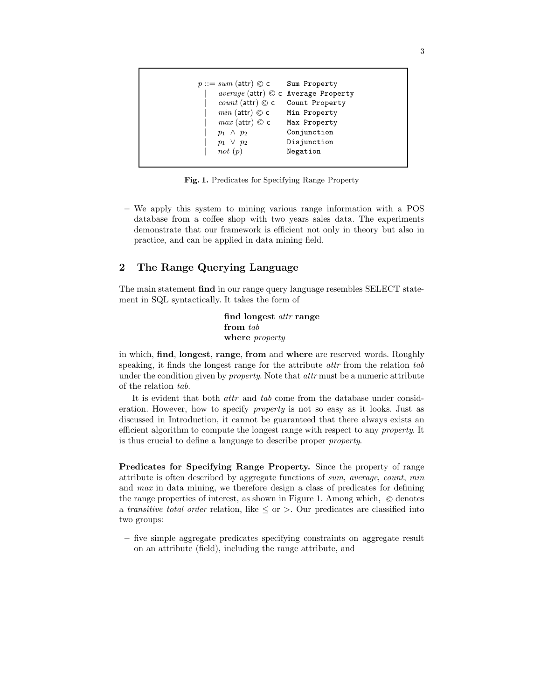| $p ::= sum(\text{attr}) \otimes c$ | Sum Property                                |
|------------------------------------|---------------------------------------------|
|                                    | $average$ (attr) $\odot$ c Average Property |
| <i>count</i> (attr) $\otimes$ c    | Count Property                              |
| $min$ (attr) $\odot$ c             | Min Property                                |
| $max$ (attr) $\otimes$ c           | Max Property                                |
| $p_1 \wedge p_2$                   | Conjunction                                 |
| $p_1 \vee p_2$                     | Disjunction                                 |
| not $(p)$                          | Negation                                    |

Fig. 1. Predicates for Specifying Range Property

– We apply this system to mining various range information with a POS database from a coffee shop with two years sales data. The experiments demonstrate that our framework is efficient not only in theory but also in practice, and can be applied in data mining field.

# 2 The Range Querying Language

The main statement find in our range query language resembles SELECT statement in SQL syntactically. It takes the form of

> find longest attr range from tab where *property*

in which, find, longest, range, from and where are reserved words. Roughly speaking, it finds the longest range for the attribute *attr* from the relation tab under the condition given by *property*. Note that *attr* must be a numeric attribute of the relation tab.

It is evident that both attr and tab come from the database under consideration. However, how to specify property is not so easy as it looks. Just as discussed in Introduction, it cannot be guaranteed that there always exists an efficient algorithm to compute the longest range with respect to any property. It is thus crucial to define a language to describe proper property.

Predicates for Specifying Range Property. Since the property of range attribute is often described by aggregate functions of sum, average, count, min and max in data mining, we therefore design a class of predicates for defining the range properties of interest, as shown in Figure 1. Among which,  $\otimes$  denotes a transitive total order relation, like  $\leq$  or  $>$ . Our predicates are classified into two groups:

– five simple aggregate predicates specifying constraints on aggregate result on an attribute (field), including the range attribute, and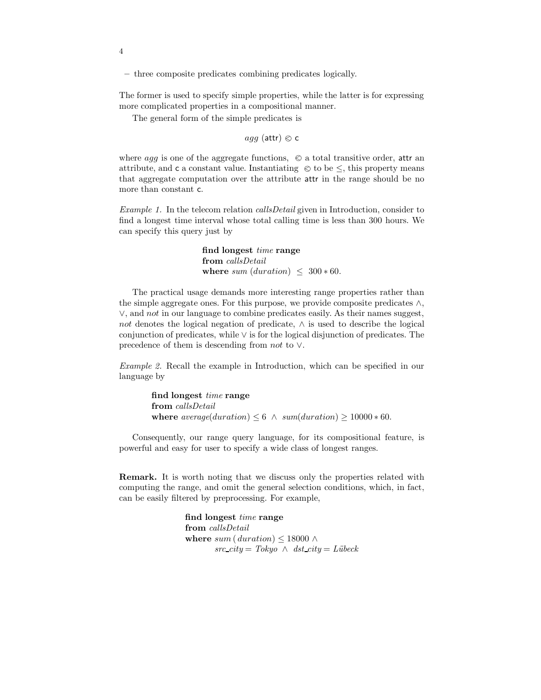– three composite predicates combining predicates logically.

The former is used to specify simple properties, while the latter is for expressing more complicated properties in a compositional manner.

The general form of the simple predicates is

 $aqq$  (attr)  $\otimes$  c

where agg is one of the aggregate functions,  $\otimes$  a total transitive order, attr an attribute, and  ${\tt c}$  a constant value. Instantiating  $\;\otimes$  to be  $\leq,$  this property means that aggregate computation over the attribute attr in the range should be no more than constant c.

Example 1. In the telecom relation callsDetail given in Introduction, consider to find a longest time interval whose total calling time is less than 300 hours. We can specify this query just by

> find longest time range from callsDetail where sum  $(duration) \leq 300 * 60$ .

The practical usage demands more interesting range properties rather than the simple aggregate ones. For this purpose, we provide composite predicates  $\wedge$ , ∨, and not in our language to combine predicates easily. As their names suggest, not denotes the logical negation of predicate,  $\land$  is used to describe the logical conjunction of predicates, while ∨ is for the logical disjunction of predicates. The precedence of them is descending from not to ∨.

Example 2. Recall the example in Introduction, which can be specified in our language by

> find longest time range from callsDetail where  $average(duration) \leq 6 \land sum(duration) \geq 10000 * 60$ .

Consequently, our range query language, for its compositional feature, is powerful and easy for user to specify a wide class of longest ranges.

Remark. It is worth noting that we discuss only the properties related with computing the range, and omit the general selection conditions, which, in fact, can be easily filtered by preprocessing. For example,

> find longest time range from callsDetail where sum ( duration)  $\leq 18000 \; \wedge$  $src\_city = Tokyo \wedge \; dst\_city = Lübeck$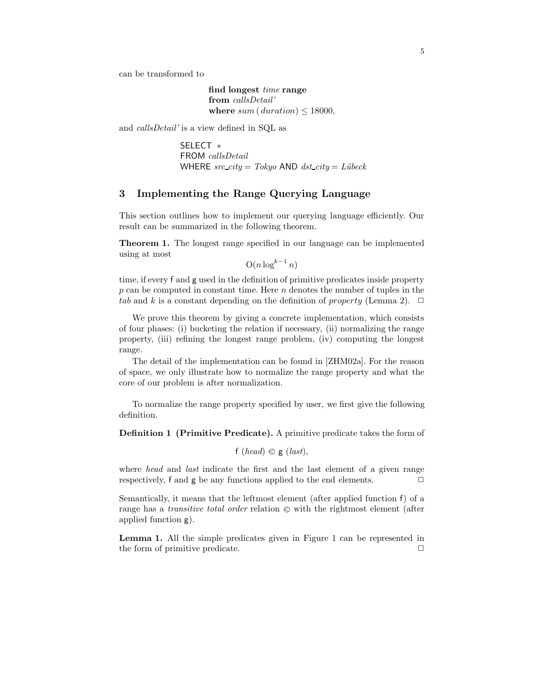can be transformed to

find longest time range from callsDetail' where  $sum ( duration) \leq 18000$ ,

and callsDetail' is a view defined in SQL as

SELECT ∗ FROM callsDetail WHERE  $src\_city = Tokyo$  AND  $dst\_city = Lübeck$ 

## 3 Implementing the Range Querying Language

This section outlines how to implement our querying language efficiently. Our result can be summarized in the following theorem.

Theorem 1. The longest range specified in our language can be implemented using at most

 $O(n \log^{k-1} n)$ 

time, if every f and g used in the definition of primitive predicates inside property  $p$  can be computed in constant time. Here  $n$  denotes the number of tuples in the tab and k is a constant depending on the definition of property (Lemma 2).  $\Box$ 

We prove this theorem by giving a concrete implementation, which consists of four phases: (i) bucketing the relation if necessary, (ii) normalizing the range property, (iii) refining the longest range problem, (iv) computing the longest range.

The detail of the implementation can be found in [ZHM02a]. For the reason of space, we only illustrate how to normalize the range property and what the core of our problem is after normalization.

To normalize the range property specified by user, we first give the following definition.

Definition 1 (Primitive Predicate). A primitive predicate takes the form of

f (head)  $\otimes$  g (last),

where head and last indicate the first and the last element of a given range respectively, f and  $g$  be any functions applied to the end elements.  $\Box$ 

Semantically, it means that the leftmost element (after applied function f) of a range has a *transitive total order* relation  $\otimes$  with the rightmost element (after applied function g).

Lemma 1. All the simple predicates given in Figure 1 can be represented in the form of primitive predicate.  $\Box$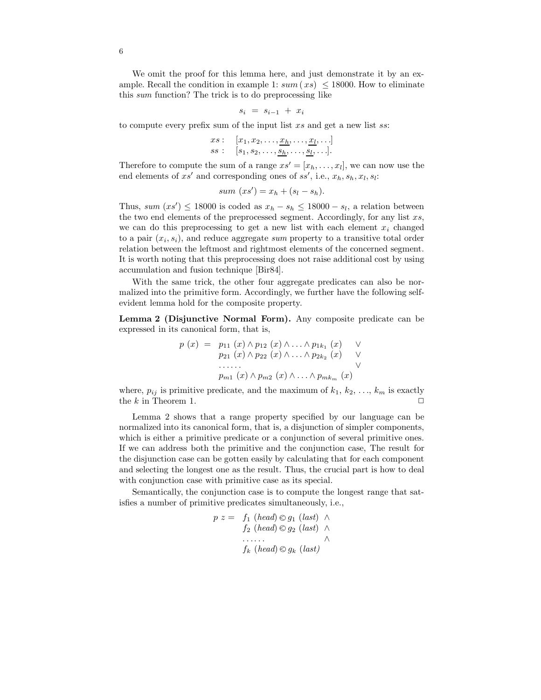We omit the proof for this lemma here, and just demonstrate it by an example. Recall the condition in example 1:  $sum(x_s) \le 18000$ . How to eliminate this sum function? The trick is to do preprocessing like

$$
s_i = s_{i-1} + x_i
$$

to compute every prefix sum of the input list  $xs$  and get a new list  $ss$ :

*xs*: 
$$
[x_1, x_2, \ldots, \underline{x_h}, \ldots, \underline{x_l}, \ldots]
$$
  
*ss*:  $[s_1, s_2, \ldots, \underline{s_h}, \ldots, \underline{s_l}, \ldots].$ 

Therefore to compute the sum of a range  $xs' = [x_h, \ldots, x_l]$ , we can now use the end elements of  $xs'$  and corresponding ones of  $ss'$ , i.e.,  $x_h, s_h, x_l, s_l$ :

sum 
$$
(xs') = x_h + (s_l - s_h)
$$
.

Thus, sum  $(xs') \le 18000$  is coded as  $x_h - s_h \le 18000 - s_l$ , a relation between the two end elements of the preprocessed segment. Accordingly, for any list  $xs$ , we can do this preprocessing to get a new list with each element  $x_i$  changed to a pair  $(x_i, s_i)$ , and reduce aggregate sum property to a transitive total order relation between the leftmost and rightmost elements of the concerned segment. It is worth noting that this preprocessing does not raise additional cost by using accumulation and fusion technique [Bir84].

With the same trick, the other four aggregate predicates can also be normalized into the primitive form. Accordingly, we further have the following selfevident lemma hold for the composite property.

Lemma 2 (Disjunctive Normal Form). Any composite predicate can be expressed in its canonical form, that is,

$$
p(x) = p_{11}(x) \land p_{12}(x) \land \ldots \land p_{1k_1}(x) \quad \lor
$$
  
\n
$$
p_{21}(x) \land p_{22}(x) \land \ldots \land p_{2k_2}(x) \quad \lor
$$
  
\n
$$
\ldots \ldots
$$
  
\n
$$
p_{m1}(x) \land p_{m2}(x) \land \ldots \land p_{mk_m}(x)
$$

where,  $p_{ij}$  is primitive predicate, and the maximum of  $k_1, k_2, \ldots, k_m$  is exactly the k in Theorem 1.  $\Box$ 

Lemma 2 shows that a range property specified by our language can be normalized into its canonical form, that is, a disjunction of simpler components, which is either a primitive predicate or a conjunction of several primitive ones. If we can address both the primitive and the conjunction case, The result for the disjunction case can be gotten easily by calculating that for each component and selecting the longest one as the result. Thus, the crucial part is how to deal with conjunction case with primitive case as its special.

Semantically, the conjunction case is to compute the longest range that satisfies a number of primitive predicates simultaneously, i.e.,

$$
p z = f_1 \ (head) \otimes g_1 \ (last) \ \wedge f_2 \ (head) \otimes g_2 \ (last) \ \wedge \n... f_k \ (head) \otimes g_k \ (last)
$$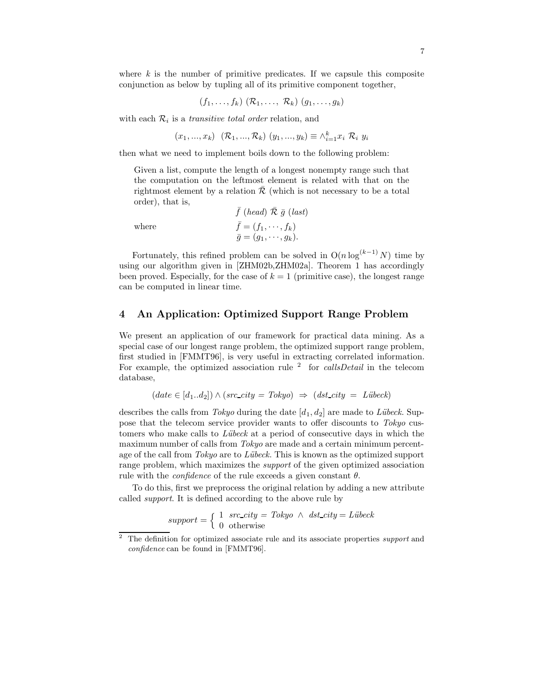where  $k$  is the number of primitive predicates. If we capsule this composite conjunction as below by tupling all of its primitive component together,

$$
(f_1,\ldots,f_k) \; (\mathcal{R}_1,\ldots,\; \mathcal{R}_k) \; (g_1,\ldots,g_k)
$$

with each  $\mathcal{R}_i$  is a transitive total order relation, and

$$
(x_1, ..., x_k) \ (\mathcal{R}_1, ..., \mathcal{R}_k) \ (y_1, ..., y_k) \equiv \wedge_{i=1}^k x_i \ \mathcal{R}_i \ y_i
$$

then what we need to implement boils down to the following problem:

Given a list, compute the length of a longest nonempty range such that the computation on the leftmost element is related with that on the rightmost element by a relation  $\overline{\mathcal{R}}$  (which is not necessary to be a total order), that is,

where  
\n
$$
\bar{f} \text{ (head) } \bar{\mathcal{R}} \bar{g} \text{ (last)}
$$
\n
$$
\bar{f} = (f_1, \dots, f_k)
$$
\n
$$
\bar{g} = (g_1, \dots, g_k).
$$

Fortunately, this refined problem can be solved in  $O(n \log^{(k-1)} N)$  time by using our algorithm given in [ZHM02b,ZHM02a]. Theorem 1 has accordingly been proved. Especially, for the case of  $k = 1$  (primitive case), the longest range can be computed in linear time.

#### 4 An Application: Optimized Support Range Problem

We present an application of our framework for practical data mining. As a special case of our longest range problem, the optimized support range problem, first studied in [FMMT96], is very useful in extracting correlated information. For example, the optimized association rule  $2$  for *callsDetail* in the telecom database,

$$
(date \in [d_1..d_2]) \land (src\_city = Tokyo) \Rightarrow (dst\_city = Lübeck)
$$

describes the calls from Tokyo during the date  $[d_1, d_2]$  are made to Lübeck. Suppose that the telecom service provider wants to offer discounts to Tokyo customers who make calls to Lübeck at a period of consecutive days in which the maximum number of calls from Tokyo are made and a certain minimum percentage of the call from  $Tokyo$  are to Lübeck. This is known as the optimized support range problem, which maximizes the *support* of the given optimized association rule with the *confidence* of the rule exceeds a given constant  $\theta$ .

To do this, first we preprocess the original relation by adding a new attribute called support. It is defined according to the above rule by

$$
support = \begin{cases} 1 & src\_city = Tokyo \land \ dst\_city = Lübeck \\ 0 & otherwise \end{cases}
$$

 $2\degree$  The definition for optimized associate rule and its associate properties support and confidence can be found in [FMMT96].